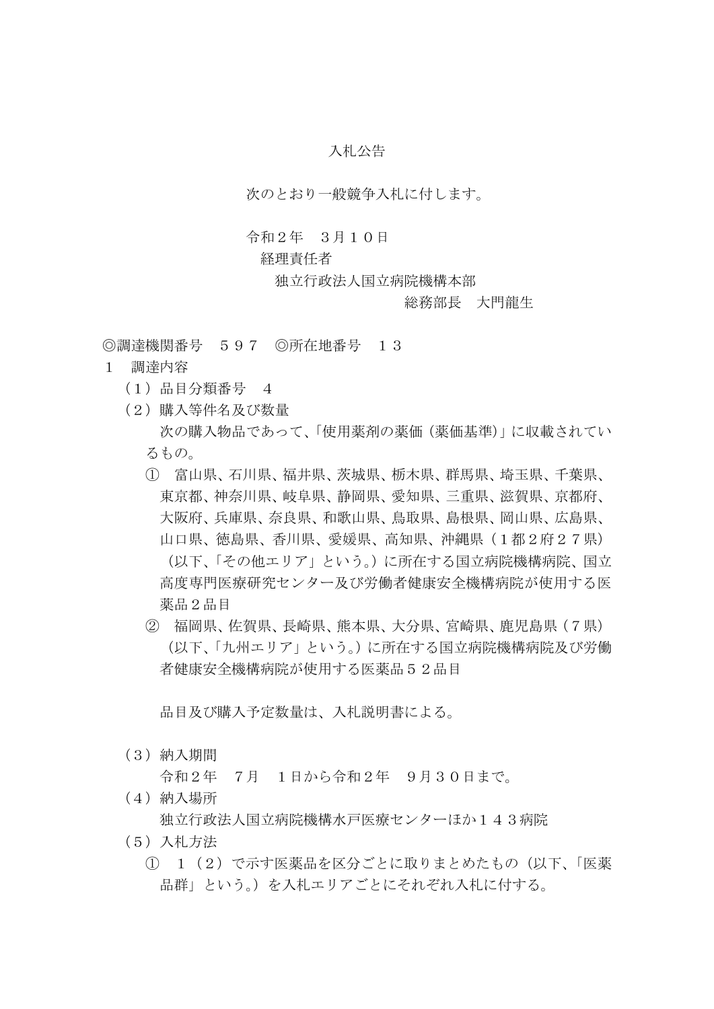## 入札公告

次のとおり一般競争入札に付します。

## 令和2年 3月10日

## 経理責任者

独立行政法人国立病院機構本部

## 総務部長 大門龍生

◎調達機関番号 597 ◎所在地番号 13

- 1 調達内容
	- (1)品目分類番号 4
	- (2)購入等件名及び数量 次の購入物品であって、「使用薬剤の薬価(薬価基準)」に収載されてい るもの。
		- ① 富山県、石川県、福井県、茨城県、栃木県、群馬県、埼玉県、千葉県、 東京都、神奈川県、岐阜県、静岡県、愛知県、三重県、滋賀県、京都府、 大阪府、兵庫県、奈良県、和歌山県、鳥取県、島根県、岡山県、広島県、 山口県、徳島県、香川県、愛媛県、高知県、沖縄県(1都2府27県) (以下、「その他エリア」という。)に所在する国立病院機構病院、国立 高度専門医療研究センター及び労働者健康安全機構病院が使用する医 薬品2品目
		- ② 福岡県、佐賀県、長崎県、熊本県、大分県、宮崎県、鹿児島県(7県) (以下、「九州エリア」という。)に所在する国立病院機構病院及び労働 者健康安全機構病院が使用する医薬品52品目

品目及び購入予定数量は、入札説明書による。

(3)納入期間

令和2年 7月 1日から令和2年 9月30日まで。

(4)納入場所

独立行政法人国立病院機構水戸医療センターほか143病院

- (5)入札方法
	- ① 1(2)で示す医薬品を区分ごとに取りまとめたもの(以下、「医薬 品群」という。)を入札エリアごとにそれぞれ入札に付する。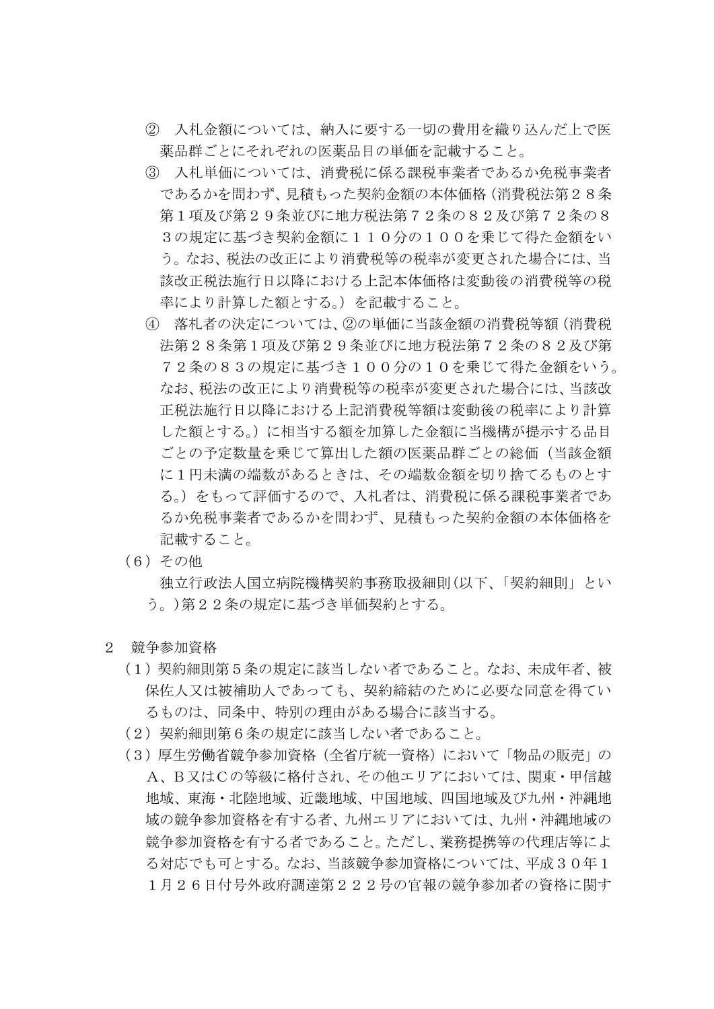- ② 入札金額については、納入に要する一切の費用を織り込んだ上で医 薬品群ごとにそれぞれの医薬品目の単価を記載すること。
- ③ 入札単価については、消費税に係る課税事業者であるか免税事業者 であるかを問わず、見積もった契約金額の本体価格(消費税法第28条 第1項及び第29条並びに地方税法第72条の82及び第72条の8 3の規定に基づき契約金額に110分の100を乗じて得た金額をい う。なお、税法の改正により消費税等の税率が変更された場合には、当 該改正税法施行日以降における上記本体価格は変動後の消費税等の税 率により計算した額とする。)を記載すること。
- ④ 落札者の決定については、②の単価に当該金額の消費税等額(消費税 法第28条第1項及び第29条並びに地方税法第72条の82及び第 72条の83の規定に基づき100分の10を乗じて得た金額をいう。 なお、税法の改正により消費税等の税率が変更された場合には、当該改 正税法施行日以降における上記消費税等額は変動後の税率により計算 した額とする。)に相当する額を加算した金額に当機構が提示する品目 ごとの予定数量を乗じて算出した額の医薬品群ごとの総価(当該金額 に1円未満の端数があるときは、その端数金額を切り捨てるものとす る。)をもって評価するので、入札者は、消費税に係る課税事業者であ るか免税事業者であるかを問わず、見積もった契約金額の本体価格を 記載すること。
- (6)その他

独立行政法人国立病院機構契約事務取扱細則(以下、「契約細則」とい う。)第22条の規定に基づき単価契約とする。

- 2 競争参加資格
	- (1)契約細則第5条の規定に該当しない者であること。なお、未成年者、被 保佐人又は被補助人であっても、契約締結のために必要な同意を得てい るものは、同条中、特別の理由がある場合に該当する。
	- (2)契約細則第6条の規定に該当しない者であること。
	- (3)厚生労働省競争参加資格(全省庁統一資格)において「物品の販売」の A、B又はCの等級に格付され、その他エリアにおいては、関東・甲信越 地域、東海・北陸地域、近畿地域、中国地域、四国地域及び九州・沖縄地 域の競争参加資格を有する者、九州エリアにおいては、九州・沖縄地域の 競争参加資格を有する者であること。ただし、業務提携等の代理店等によ る対応でも可とする。なお、当該競争参加資格については、平成30年1 1月26日付号外政府調達第222号の官報の競争参加者の資格に関す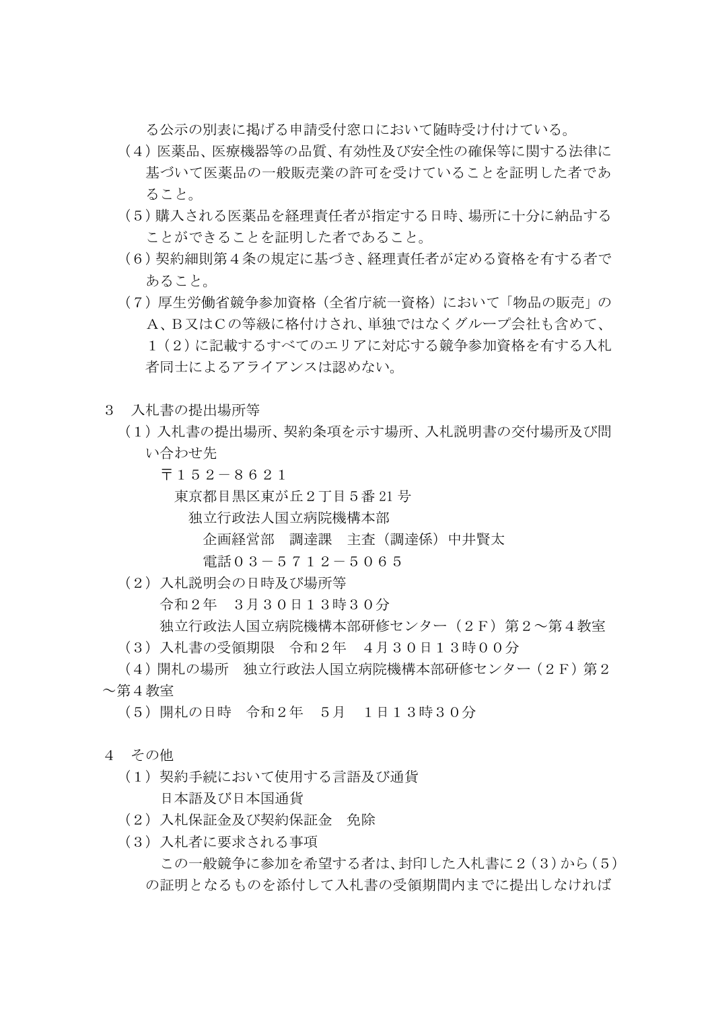る公示の別表に掲げる申請受付窓口において随時受け付けている。

- (4)医薬品、医療機器等の品質、有効性及び安全性の確保等に関する法律に 基づいて医薬品の一般販売業の許可を受けていることを証明した者であ ること。
- (5)購入される医薬品を経理責任者が指定する日時、場所に十分に納品する ことができることを証明した者であること。
- (6)契約細則第4条の規定に基づき、経理責任者が定める資格を有する者で あること。
- (7)厚生労働省競争参加資格(全省庁統一資格)において「物品の販売」の A、B又はCの等級に格付けされ、単独ではなくグループ会社も含めて、 1(2)に記載するすべてのエリアに対応する競争参加資格を有する入札 者同士によるアライアンスは認めない。
- 3 入札書の提出場所等
	- (1)入札書の提出場所、契約条項を示す場所、入札説明書の交付場所及び問 い合わせ先
		- 〒152-8621

東京都目黒区東が丘2丁目5番 21 号

- 独立行政法人国立病院機構本部
	- 企画経営部 調達課 主査(調達係)中井賢太

電話03-5712-5065

- (2)入札説明会の日時及び場所等 令和2年 3月30日13時30分 独立行政法人国立病院機構本部研修センター(2F)第2~第4教室
- (3)入札書の受領期限 令和2年 4月30日13時00分
- (4)開札の場所 独立行政法人国立病院機構本部研修センター(2F)第2 ~第4教室
	- (5)開札の日時 令和2年 5月 1日13時30分
- 4 その他
	- (1)契約手続において使用する言語及び通貨 日本語及び日本国通貨
	- (2)入札保証金及び契約保証金 免除
	- (3)入札者に要求される事項
		- この一般競争に参加を希望する者は、封印した入札書に2(3)から(5) の証明となるものを添付して入札書の受領期間内までに提出しなければ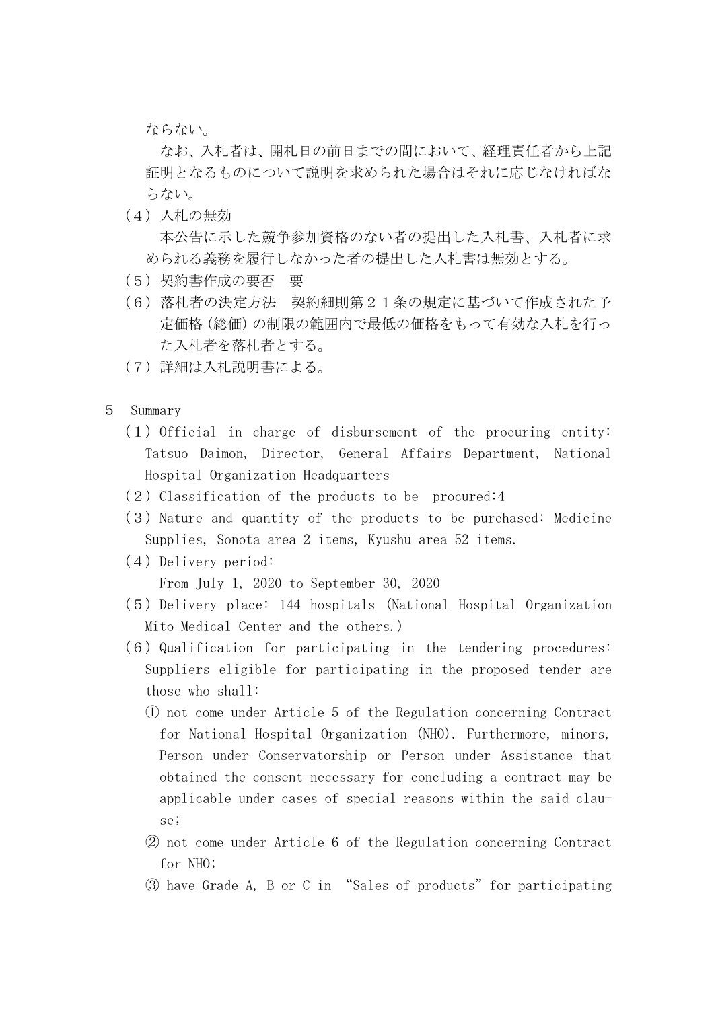ならない。

なお、入札者は、開札日の前日までの間において、経理責任者から上記 証明となるものについて説明を求められた場合はそれに応じなければな らない。

(4)入札の無効

本公告に示した競争参加資格のない者の提出した入札書、入札者に求 められる義務を履行しなかった者の提出した入札書は無効とする。

- (5)契約書作成の要否 要
- (6)落札者の決定方法 契約細則第21条の規定に基づいて作成された予 定価格(総価)の制限の範囲内で最低の価格をもって有効な入札を行っ た入札者を落札者とする。
- (7)詳細は入札説明書による。
- 5 Summary
	- $(1)$  Official in charge of disbursement of the procuring entity: Tatsuo Daimon, Director, General Affairs Department, National Hospital Organization Headquarters
	- $(2)$  Classification of the products to be procured:4
	- (3) Nature and quantity of the products to be purchased: Medicine Supplies, Sonota area 2 items, Kyushu area 52 items.
	- (4) Delivery period:

From July 1, 2020 to September 30, 2020

- (5)Delivery place: 144 hospitals (National Hospital Organization Mito Medical Center and the others.)
- $(6)$  Qualification for participating in the tendering procedures: Suppliers eligible for participating in the proposed tender are those who shall:
	- ① not come under Article 5 of the Regulation concerning Contract for National Hospital Organization (NHO). Furthermore, minors, Person under Conservatorship or Person under Assistance that obtained the consent necessary for concluding a contract may be applicable under cases of special reasons within the said clause;
	- ② not come under Article 6 of the Regulation concerning Contract for NHO;
	- ③ have Grade A, B or C in "Sales of products"for participating